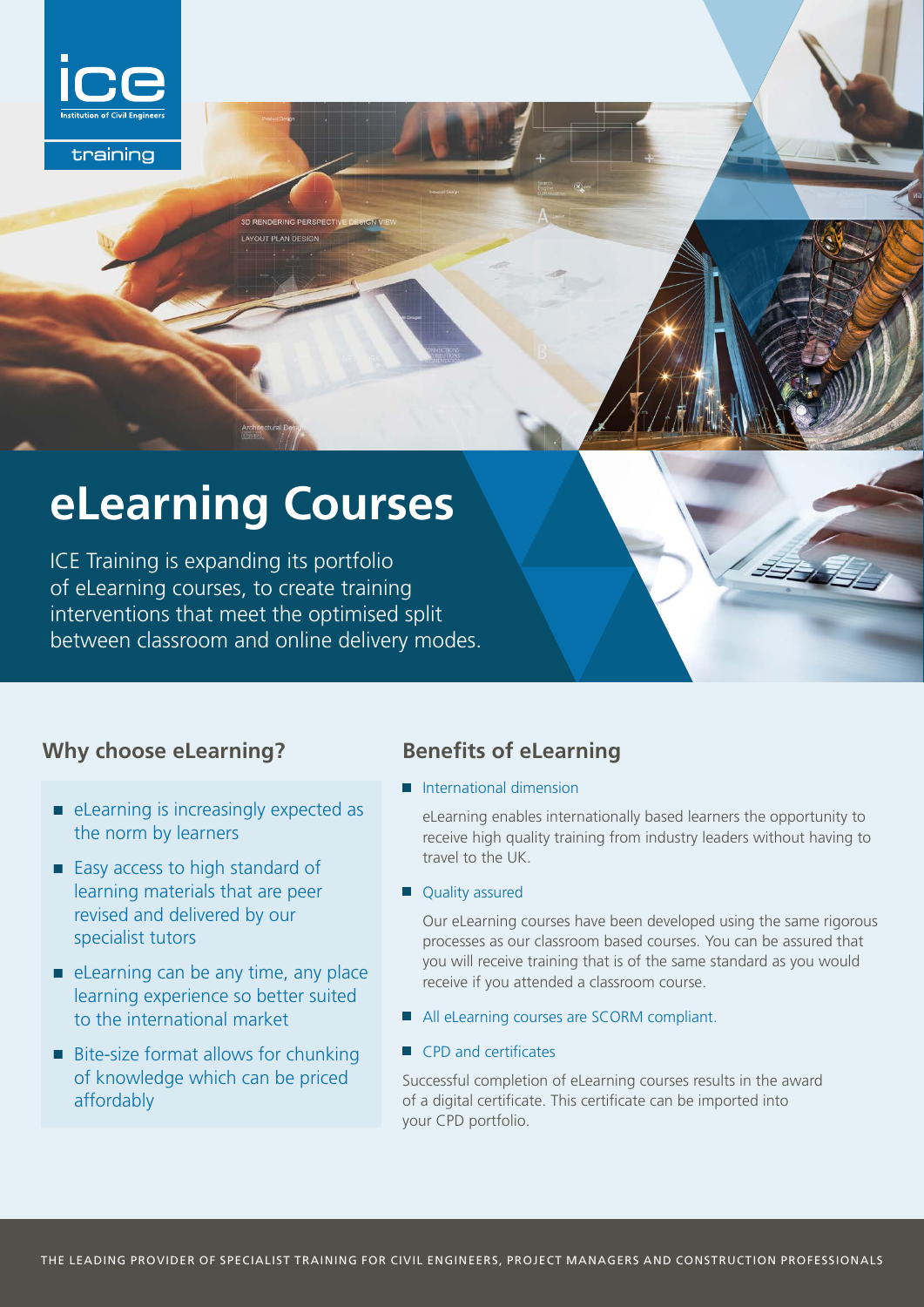

training

# **eLearning Courses**

**DERING PERSPECT IT PLAN DES** 

ICE Training is expanding its portfolio of eLearning courses, to create training interventions that meet the optimised split between classroom and online delivery modes.

#### **Why choose eLearning?**

- $\blacksquare$  eLearning is increasingly expected as the norm by learners
- $\blacksquare$  Easy access to high standard of learning materials that are peer revised and delivered by our specialist tutors
- $\blacksquare$  eLearning can be any time, any place learning experience so better suited to the international market
- $\blacksquare$  Bite-size format allows for chunking of knowledge which can be priced affordably

### **Benefits of eLearning**

 $\blacksquare$  International dimension

 eLearning enables internationally based learners the opportunity to receive high quality training from industry leaders without having to travel to the UK.

**Quality assured** 

 Our eLearning courses have been developed using the same rigorous processes as our classroom based courses. You can be assured that you will receive training that is of the same standard as you would receive if you attended a classroom course.

- All eLearning courses are SCORM compliant.
- $\blacksquare$  CPD and certificates

Successful completion of eLearning courses results in the award of a digital certificate. This certificate can be imported into your CPD portfolio.